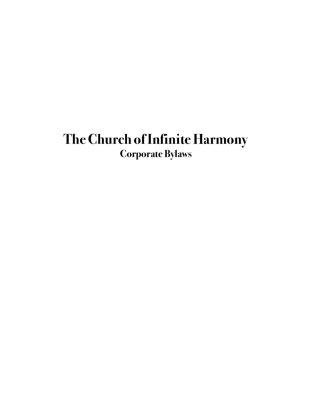# <span id="page-0-1"></span><span id="page-0-0"></span>**The Church of Infinite Harmony Corporate Bylaws**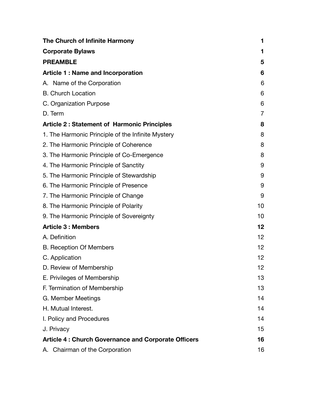| The Church of Infinite Harmony                             | 1              |
|------------------------------------------------------------|----------------|
| <b>Corporate Bylaws</b>                                    | 1              |
| <b>PREAMBLE</b>                                            | 5              |
| <b>Article 1: Name and Incorporation</b>                   | 6              |
| A. Name of the Corporation                                 | 6              |
| <b>B.</b> Church Location                                  | 6              |
| C. Organization Purpose                                    | 6              |
| D. Term                                                    | $\overline{7}$ |
| <b>Article 2: Statement of Harmonic Principles</b>         | 8              |
| 1. The Harmonic Principle of the Infinite Mystery          | 8              |
| 2. The Harmonic Principle of Coherence                     | 8              |
| 3. The Harmonic Principle of Co-Emergence                  | 8              |
| 4. The Harmonic Principle of Sanctity                      | 9              |
| 5. The Harmonic Principle of Stewardship                   | 9              |
| 6. The Harmonic Principle of Presence                      | 9              |
| 7. The Harmonic Principle of Change                        | 9              |
| 8. The Harmonic Principle of Polarity                      | 10             |
| 9. The Harmonic Principle of Sovereignty                   | 10             |
| <b>Article 3 : Members</b>                                 | 12             |
| A. Definition                                              | 12             |
| <b>B. Reception Of Members</b>                             | 12             |
| C. Application                                             | 12             |
| D. Review of Membership                                    | 12             |
| E. Privileges of Membership                                | 13             |
| F. Termination of Membership                               | 13             |
| G. Member Meetings                                         | 14             |
| H. Mutual Interest.                                        | 14             |
| I. Policy and Procedures                                   | 14             |
| J. Privacy                                                 | 15             |
| <b>Article 4: Church Governance and Corporate Officers</b> | 16             |
| A. Chairman of the Corporation                             | 16             |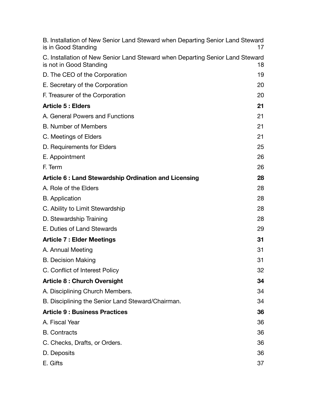| B. Installation of New Senior Land Steward when Departing Senior Land Steward<br>is in Good Standing     | 17 |
|----------------------------------------------------------------------------------------------------------|----|
| C. Installation of New Senior Land Steward when Departing Senior Land Steward<br>is not in Good Standing | 18 |
| D. The CEO of the Corporation                                                                            | 19 |
| E. Secretary of the Corporation                                                                          | 20 |
| F. Treasurer of the Corporation                                                                          | 20 |
| <b>Article 5: Elders</b>                                                                                 | 21 |
| A. General Powers and Functions                                                                          | 21 |
| <b>B. Number of Members</b>                                                                              | 21 |
| C. Meetings of Elders                                                                                    | 21 |
| D. Requirements for Elders                                                                               | 25 |
| E. Appointment                                                                                           | 26 |
| F. Term                                                                                                  | 26 |
| Article 6: Land Stewardship Ordination and Licensing                                                     | 28 |
| A. Role of the Elders                                                                                    | 28 |
| <b>B.</b> Application                                                                                    | 28 |
| C. Ability to Limit Stewardship                                                                          | 28 |
| D. Stewardship Training                                                                                  | 28 |
| E. Duties of Land Stewards                                                                               | 29 |
| <b>Article 7: Elder Meetings</b>                                                                         | 31 |
| A. Annual Meeting                                                                                        | 31 |
| <b>B.</b> Decision Making                                                                                | 31 |
| C. Conflict of Interest Policy                                                                           | 32 |
| <b>Article 8: Church Oversight</b>                                                                       | 34 |
| A. Disciplining Church Members.                                                                          | 34 |
| B. Disciplining the Senior Land Steward/Chairman.                                                        | 34 |
| <b>Article 9: Business Practices</b>                                                                     | 36 |
| A. Fiscal Year                                                                                           | 36 |
| <b>B.</b> Contracts                                                                                      | 36 |
| C. Checks, Drafts, or Orders.                                                                            | 36 |
| D. Deposits                                                                                              | 36 |
| E. Gifts                                                                                                 | 37 |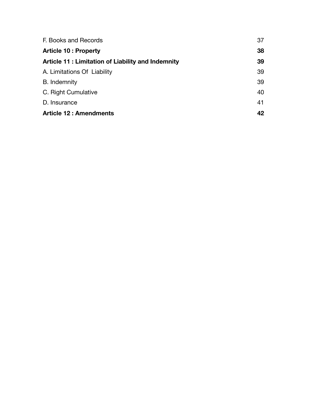| F. Books and Records                                     | 37 |
|----------------------------------------------------------|----|
| <b>Article 10: Property</b>                              | 38 |
| <b>Article 11: Limitation of Liability and Indemnity</b> | 39 |
| A. Limitations Of Liability                              | 39 |
| B. Indemnity                                             | 39 |
| C. Right Cumulative                                      | 40 |
| D. Insurance                                             | 41 |
| <b>Article 12: Amendments</b>                            | 42 |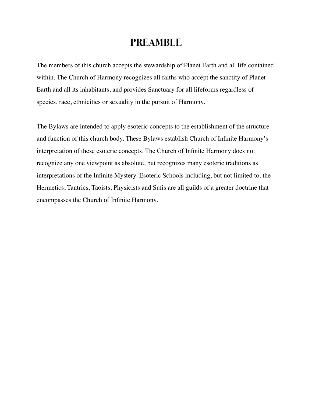## <span id="page-4-0"></span>**PREAMBLE**

The members of this church accepts the stewardship of Planet Earth and all life contained within. The Church of Harmony recognizes all faiths who accept the sanctity of Planet Earth and all its inhabitants, and provides Sanctuary for all lifeforms regardless of species, race, ethnicities or sexuality in the pursuit of Harmony.

The Bylaws are intended to apply esoteric concepts to the establishment of the structure and function of this church body. These Bylaws establish Church of Infinite Harmony's interpretation of these esoteric concepts. The Church of Infinite Harmony does not recognize any one viewpoint as absolute, but recognizes many esoteric traditions as interpretations of the Infinite Mystery. Esoteric Schools including, but not limited to, the Hermetics, Tantrics, Taoists, Physicists and Sufis are all guilds of a greater doctrine that encompasses the Church of Infinite Harmony.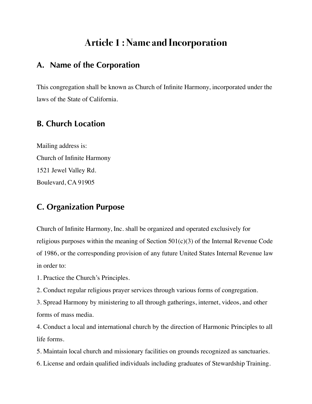## <span id="page-5-0"></span>**Article 1 : Name and Incorporation**

## <span id="page-5-1"></span>**A. Name of the Corporation**

This congregation shall be known as Church of Infinite Harmony, incorporated under the laws of the State of California.

## <span id="page-5-2"></span>**B. Church Location**

Mailing address is: Church of Infinite Harmony 1521 Jewel Valley Rd. Boulevard, CA 91905

## <span id="page-5-3"></span>**C. Organization Purpose**

Church of Infinite Harmony, Inc. shall be organized and operated exclusively for religious purposes within the meaning of Section  $501(c)(3)$  of the Internal Revenue Code of 1986, or the corresponding provision of any future United States Internal Revenue law in order to:

1. Practice the Church's Principles.

2. Conduct regular religious prayer services through various forms of congregation.

3. Spread Harmony by ministering to all through gatherings, internet, videos, and other forms of mass media.

4. Conduct a local and international church by the direction of Harmonic Principles to all life forms.

5. Maintain local church and missionary facilities on grounds recognized as sanctuaries.

6. License and ordain qualified individuals including graduates of Stewardship Training.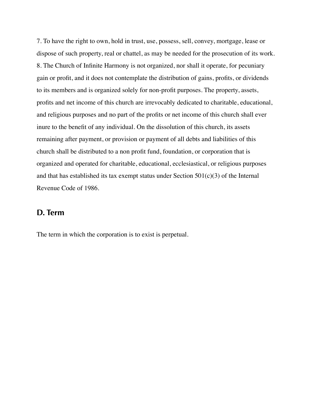7. To have the right to own, hold in trust, use, possess, sell, convey, mortgage, lease or dispose of such property, real or chattel, as may be needed for the prosecution of its work. 8. The Church of Infinite Harmony is not organized, nor shall it operate, for pecuniary gain or profit, and it does not contemplate the distribution of gains, profits, or dividends to its members and is organized solely for non-profit purposes. The property, assets, profits and net income of this church are irrevocably dedicated to charitable, educational, and religious purposes and no part of the profits or net income of this church shall ever inure to the benefit of any individual. On the dissolution of this church, its assets remaining after payment, or provision or payment of all debts and liabilities of this church shall be distributed to a non profit fund, foundation, or corporation that is organized and operated for charitable, educational, ecclesiastical, or religious purposes and that has established its tax exempt status under Section  $501(c)(3)$  of the Internal Revenue Code of 1986.

#### <span id="page-6-0"></span>**D. Term**

The term in which the corporation is to exist is perpetual.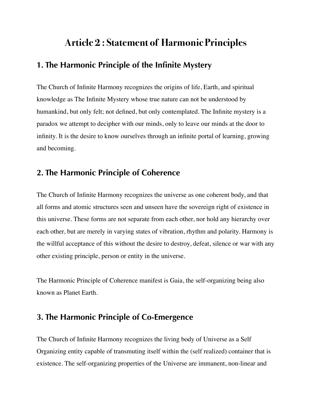## <span id="page-7-0"></span>**Article 2 : Statement of Harmonic Principles**

## <span id="page-7-1"></span>**1. The Harmonic Principle of the Infinite Mystery**

The Church of Infinite Harmony recognizes the origins of life, Earth, and spiritual knowledge as The Infinite Mystery whose true nature can not be understood by humankind, but only felt; not defined, but only contemplated. The Infinite mystery is a paradox we attempt to decipher with our minds, only to leave our minds at the door to infinity. It is the desire to know ourselves through an infinite portal of learning, growing and becoming.

### <span id="page-7-2"></span>**2. The Harmonic Principle of Coherence**

The Church of Infinite Harmony recognizes the universe as one coherent body, and that all forms and atomic structures seen and unseen have the sovereign right of existence in this universe. These forms are not separate from each other, nor hold any hierarchy over each other, but are merely in varying states of vibration, rhythm and polarity. Harmony is the willful acceptance of this without the desire to destroy, defeat, silence or war with any other existing principle, person or entity in the universe.

The Harmonic Principle of Coherence manifest is Gaia, the self-organizing being also known as Planet Earth.

## <span id="page-7-3"></span>**3. The Harmonic Principle of Co-Emergence**

The Church of Infinite Harmony recognizes the living body of Universe as a Self Organizing entity capable of transmuting itself within the (self realized) container that is existence. The self-organizing properties of the Universe are immanent, non-linear and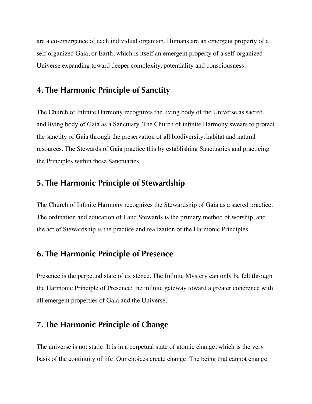are a co-emergence of each individual organism. Humans are an emergent property of a self organized Gaia, or Earth, which is itself an emergent property of a self-organized Universe expanding toward deeper complexity, potentiality and consciousness.

### <span id="page-8-0"></span>**4. The Harmonic Principle of Sanctity**

The Church of Infinite Harmony recognizes the living body of the Universe as sacred, and living body of Gaia as a Sanctuary. The Church of infinite Harmony swears to protect the sanctity of Gaia through the preservation of all biodiversity, habitat and natural resources. The Stewards of Gaia practice this by establishing Sanctuaries and practicing the Principles within these Sanctuaries.

### <span id="page-8-1"></span>**5. The Harmonic Principle of Stewardship**

The Church of Infinite Harmony recognizes the Stewardship of Gaia as a sacred practice. The ordination and education of Land Stewards is the primary method of worship, and the act of Stewardship is the practice and realization of the Harmonic Principles.

## <span id="page-8-2"></span>**6. The Harmonic Principle of Presence**

Presence is the perpetual state of existence. The Infinite Mystery can only be felt through the Harmonic Principle of Presence; the infinite gateway toward a greater coherence with all emergent properties of Gaia and the Universe.

## <span id="page-8-3"></span>**7. The Harmonic Principle of Change**

The universe is not static. It is in a perpetual state of atomic change, which is the very basis of the continuity of life. Our choices create change. The being that cannot change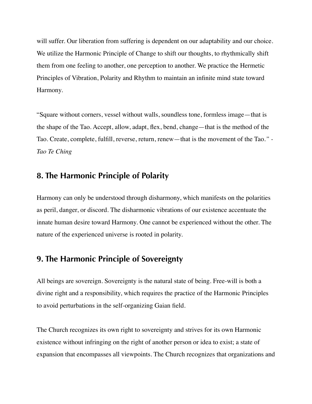will suffer. Our liberation from suffering is dependent on our adaptability and our choice. We utilize the Harmonic Principle of Change to shift our thoughts, to rhythmically shift them from one feeling to another, one perception to another. We practice the Hermetic Principles of Vibration, Polarity and Rhythm to maintain an infinite mind state toward Harmony.

"Square without corners, vessel without walls, soundless tone, formless image—that is the shape of the Tao. Accept, allow, adapt, flex, bend, change—that is the method of the Tao. Create, complete, fulfill, reverse, return, renew—that is the movement of the Tao.*" - Tao Te Ching*

### <span id="page-9-0"></span>**8. The Harmonic Principle of Polarity**

Harmony can only be understood through disharmony, which manifests on the polarities as peril, danger, or discord. The disharmonic vibrations of our existence accentuate the innate human desire toward Harmony. One cannot be experienced without the other. The nature of the experienced universe is rooted in polarity.

### <span id="page-9-1"></span>**9. The Harmonic Principle of Sovereignty**

All beings are sovereign. Sovereignty is the natural state of being. Free-will is both a divine right and a responsibility, which requires the practice of the Harmonic Principles to avoid perturbations in the self-organizing Gaian field.

The Church recognizes its own right to sovereignty and strives for its own Harmonic existence without infringing on the right of another person or idea to exist; a state of expansion that encompasses all viewpoints. The Church recognizes that organizations and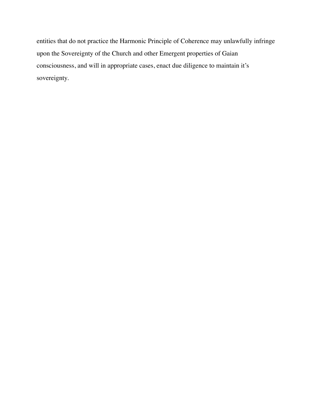entities that do not practice the Harmonic Principle of Coherence may unlawfully infringe upon the Sovereignty of the Church and other Emergent properties of Gaian consciousness, and will in appropriate cases, enact due diligence to maintain it's sovereignty.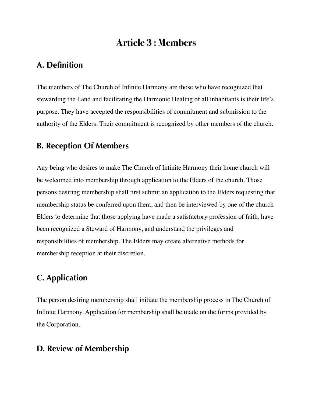## <span id="page-11-0"></span>**Article 3 : Members**

## <span id="page-11-1"></span>**A. Definition**

The members of The Church of Infinite Harmony are those who have recognized that stewarding the Land and facilitating the Harmonic Healing of all inhabitants is their life's purpose. They have accepted the responsibilities of commitment and submission to the authority of the Elders. Their commitment is recognized by other members of the church.

### <span id="page-11-2"></span>**B. Reception Of Members**

Any being who desires to make The Church of Infinite Harmony their home church will be welcomed into membership through application to the Elders of the church. Those persons desiring membership shall first submit an application to the Elders requesting that membership status be conferred upon them, and then be interviewed by one of the church Elders to determine that those applying have made a satisfactory profession of faith, have been recognized a Steward of Harmony, and understand the privileges and responsibilities of membership. The Elders may create alternative methods for membership reception at their discretion.

## <span id="page-11-3"></span>**C. Application**

The person desiring membership shall initiate the membership process in The Church of Infinite Harmony. Application for membership shall be made on the forms provided by the Corporation.

## <span id="page-11-4"></span>**D. Review of Membership**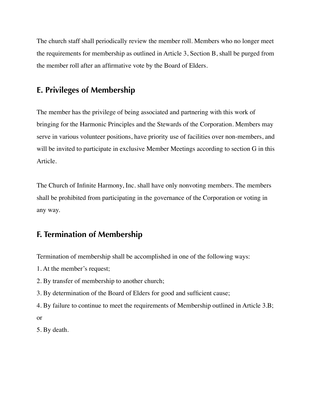The church staff shall periodically review the member roll. Members who no longer meet the requirements for membership as outlined in Article 3, Section B, shall be purged from the member roll after an affirmative vote by the Board of Elders.

### <span id="page-12-0"></span>**E. Privileges of Membership**

The member has the privilege of being associated and partnering with this work of bringing for the Harmonic Principles and the Stewards of the Corporation. Members may serve in various volunteer positions, have priority use of facilities over non-members, and will be invited to participate in exclusive Member Meetings according to section G in this Article.

The Church of Infinite Harmony, Inc. shall have only nonvoting members. The members shall be prohibited from participating in the governance of the Corporation or voting in any way.

## <span id="page-12-1"></span>**F. Termination of Membership**

Termination of membership shall be accomplished in one of the following ways:

1. At the member's request;

- 2. By transfer of membership to another church;
- 3. By determination of the Board of Elders for good and sufficient cause;
- 4. By failure to continue to meet the requirements of Membership outlined in Article 3.B; or

5. By death.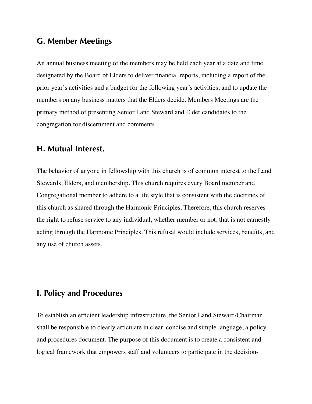## <span id="page-13-0"></span>**G. Member Meetings**

An annual business meeting of the members may be held each year at a date and time designated by the Board of Elders to deliver financial reports, including a report of the prior year's activities and a budget for the following year's activities, and to update the members on any business matters that the Elders decide. Members Meetings are the primary method of presenting Senior Land Steward and Elder candidates to the congregation for discernment and comments.

### <span id="page-13-1"></span>**H. Mutual Interest.**

The behavior of anyone in fellowship with this church is of common interest to the Land Stewards, Elders, and membership. This church requires every Board member and Congregational member to adhere to a life style that is consistent with the doctrines of this church as shared through the Harmonic Principles. Therefore, this church reserves the right to refuse service to any individual, whether member or not, that is not earnestly acting through the Harmonic Principles. This refusal would include services, benefits, and any use of church assets.

### <span id="page-13-2"></span>**I. Policy and Procedures**

To establish an efficient leadership infrastructure, the Senior Land Steward/Chairman shall be responsible to clearly articulate in clear, concise and simple language, a policy and procedures document. The purpose of this document is to create a consistent and logical framework that empowers staff and volunteers to participate in the decision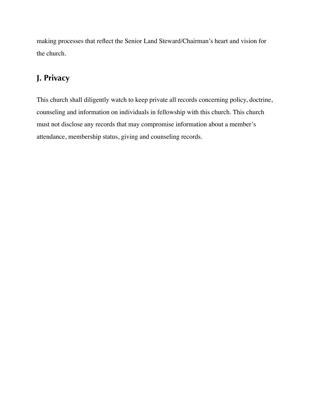making processes that reflect the Senior Land Steward/Chairman's heart and vision for the church.

## <span id="page-14-0"></span>**J. Privacy**

This church shall diligently watch to keep private all records concerning policy, doctrine, counseling and information on individuals in fellowship with this church. This church must not disclose any records that may compromise information about a member's attendance, membership status, giving and counseling records.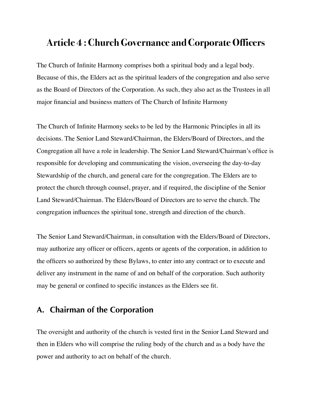## <span id="page-15-0"></span>**Article 4 : Church Governance and Corporate Officers**

The Church of Infinite Harmony comprises both a spiritual body and a legal body. Because of this, the Elders act as the spiritual leaders of the congregation and also serve as the Board of Directors of the Corporation. As such, they also act as the Trustees in all major financial and business matters of The Church of Infinite Harmony

The Church of Infinite Harmony seeks to be led by the Harmonic Principles in all its decisions. The Senior Land Steward/Chairman, the Elders/Board of Directors, and the Congregation all have a role in leadership. The Senior Land Steward/Chairman's office is responsible for developing and communicating the vision, overseeing the day-to-day Stewardship of the church, and general care for the congregation. The Elders are to protect the church through counsel, prayer, and if required, the discipline of the Senior Land Steward/Chairman. The Elders/Board of Directors are to serve the church. The congregation influences the spiritual tone, strength and direction of the church.

The Senior Land Steward/Chairman, in consultation with the Elders/Board of Directors, may authorize any officer or officers, agents or agents of the corporation, in addition to the officers so authorized by these Bylaws, to enter into any contract or to execute and deliver any instrument in the name of and on behalf of the corporation. Such authority may be general or confined to specific instances as the Elders see fit.

## <span id="page-15-1"></span>**A. Chairman of the Corporation**

The oversight and authority of the church is vested first in the Senior Land Steward and then in Elders who will comprise the ruling body of the church and as a body have the power and authority to act on behalf of the church.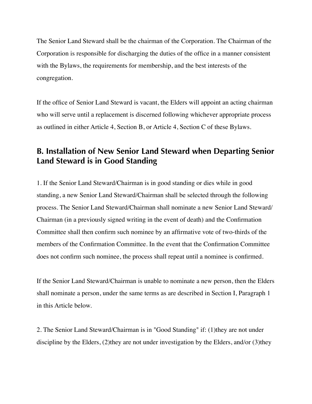The Senior Land Steward shall be the chairman of the Corporation. The Chairman of the Corporation is responsible for discharging the duties of the office in a manner consistent with the Bylaws, the requirements for membership, and the best interests of the congregation.

If the office of Senior Land Steward is vacant, the Elders will appoint an acting chairman who will serve until a replacement is discerned following whichever appropriate process as outlined in either Article 4, Section B, or Article 4, Section C of these Bylaws.

## <span id="page-16-0"></span>**B. Installation of New Senior Land Steward when Departing Senior Land Steward is in Good Standing**

1. If the Senior Land Steward/Chairman is in good standing or dies while in good standing, a new Senior Land Steward/Chairman shall be selected through the following process. The Senior Land Steward/Chairman shall nominate a new Senior Land Steward/ Chairman (in a previously signed writing in the event of death) and the Confirmation Committee shall then confirm such nominee by an affirmative vote of two-thirds of the members of the Confirmation Committee. In the event that the Confirmation Committee does not confirm such nominee, the process shall repeat until a nominee is confirmed.

If the Senior Land Steward/Chairman is unable to nominate a new person, then the Elders shall nominate a person, under the same terms as are described in Section I, Paragraph 1 in this Article below.

2. The Senior Land Steward/Chairman is in "Good Standing" if: (1)they are not under discipline by the Elders, (2)they are not under investigation by the Elders, and/or (3)they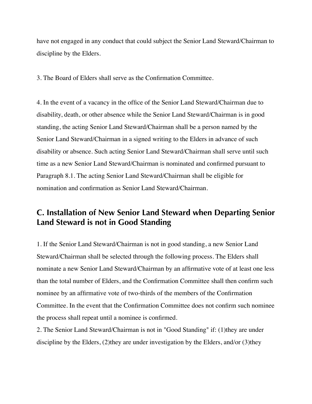have not engaged in any conduct that could subject the Senior Land Steward/Chairman to discipline by the Elders.

3. The Board of Elders shall serve as the Confirmation Committee.

4. In the event of a vacancy in the office of the Senior Land Steward/Chairman due to disability, death, or other absence while the Senior Land Steward/Chairman is in good standing, the acting Senior Land Steward/Chairman shall be a person named by the Senior Land Steward/Chairman in a signed writing to the Elders in advance of such disability or absence. Such acting Senior Land Steward/Chairman shall serve until such time as a new Senior Land Steward/Chairman is nominated and confirmed pursuant to Paragraph 8.1. The acting Senior Land Steward/Chairman shall be eligible for nomination and confirmation as Senior Land Steward/Chairman.

## <span id="page-17-0"></span>**C. Installation of New Senior Land Steward when Departing Senior Land Steward is not in Good Standing**

1. If the Senior Land Steward/Chairman is not in good standing, a new Senior Land Steward/Chairman shall be selected through the following process. The Elders shall nominate a new Senior Land Steward/Chairman by an affirmative vote of at least one less than the total number of Elders, and the Confirmation Committee shall then confirm such nominee by an affirmative vote of two-thirds of the members of the Confirmation Committee. In the event that the Confirmation Committee does not confirm such nominee the process shall repeat until a nominee is confirmed.

2. The Senior Land Steward/Chairman is not in "Good Standing" if: (1)they are under discipline by the Elders, (2)they are under investigation by the Elders, and/or (3)they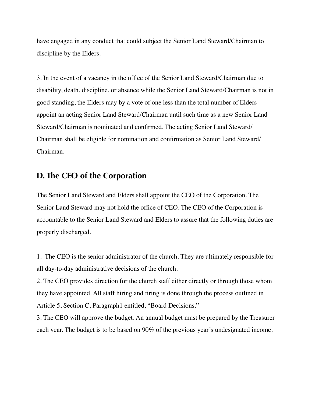have engaged in any conduct that could subject the Senior Land Steward/Chairman to discipline by the Elders.

3. In the event of a vacancy in the office of the Senior Land Steward/Chairman due to disability, death, discipline, or absence while the Senior Land Steward/Chairman is not in good standing, the Elders may by a vote of one less than the total number of Elders appoint an acting Senior Land Steward/Chairman until such time as a new Senior Land Steward/Chairman is nominated and confirmed. The acting Senior Land Steward/ Chairman shall be eligible for nomination and confirmation as Senior Land Steward/ Chairman.

## <span id="page-18-0"></span>**D. The CEO of the Corporation**

The Senior Land Steward and Elders shall appoint the CEO of the Corporation. The Senior Land Steward may not hold the office of CEO. The CEO of the Corporation is accountable to the Senior Land Steward and Elders to assure that the following duties are properly discharged.

1. The CEO is the senior administrator of the church. They are ultimately responsible for all day-to-day administrative decisions of the church.

2. The CEO provides direction for the church staff either directly or through those whom they have appointed. All staff hiring and firing is done through the process outlined in Article 5, Section C, Paragraph1 entitled, "Board Decisions."

3. The CEO will approve the budget. An annual budget must be prepared by the Treasurer each year. The budget is to be based on 90% of the previous year's undesignated income.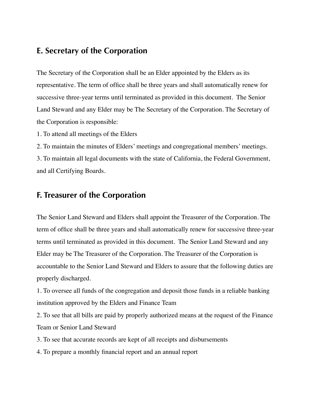## <span id="page-19-0"></span>**E. Secretary of the Corporation**

The Secretary of the Corporation shall be an Elder appointed by the Elders as its representative. The term of office shall be three years and shall automatically renew for successive three-year terms until terminated as provided in this document. The Senior Land Steward and any Elder may be The Secretary of the Corporation. The Secretary of the Corporation is responsible:

1. To attend all meetings of the Elders

2. To maintain the minutes of Elders' meetings and congregational members' meetings. 3. To maintain all legal documents with the state of California, the Federal Government, and all Certifying Boards.

### <span id="page-19-1"></span>**F. Treasurer of the Corporation**

The Senior Land Steward and Elders shall appoint the Treasurer of the Corporation. The term of office shall be three years and shall automatically renew for successive three-year terms until terminated as provided in this document. The Senior Land Steward and any Elder may be The Treasurer of the Corporation. The Treasurer of the Corporation is accountable to the Senior Land Steward and Elders to assure that the following duties are properly discharged.

1. To oversee all funds of the congregation and deposit those funds in a reliable banking institution approved by the Elders and Finance Team

2. To see that all bills are paid by properly authorized means at the request of the Finance Team or Senior Land Steward

3. To see that accurate records are kept of all receipts and disbursements

4. To prepare a monthly financial report and an annual report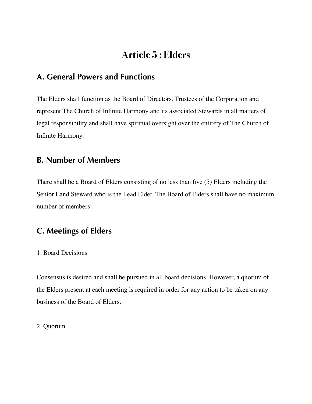## <span id="page-20-0"></span>**Article 5 : Elders**

## <span id="page-20-1"></span>**A. General Powers and Functions**

The Elders shall function as the Board of Directors, Trustees of the Corporation and represent The Church of Infinite Harmony and its associated Stewards in all matters of legal responsibility and shall have spiritual oversight over the entirety of The Church of Infinite Harmony.

## <span id="page-20-2"></span>**B. Number of Members**

There shall be a Board of Elders consisting of no less than five (5) Elders including the Senior Land Steward who is the Lead Elder. The Board of Elders shall have no maximum number of members.

## <span id="page-20-3"></span>**C. Meetings of Elders**

#### 1. Board Decisions

Consensus is desired and shall be pursued in all board decisions. However, a quorum of the Elders present at each meeting is required in order for any action to be taken on any business of the Board of Elders.

#### 2. Quorum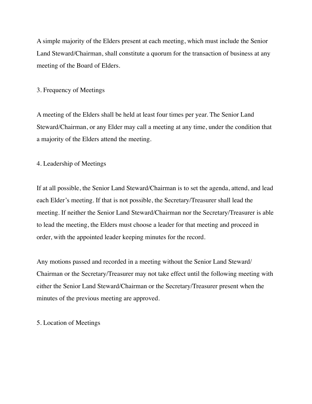A simple majority of the Elders present at each meeting, which must include the Senior Land Steward/Chairman, shall constitute a quorum for the transaction of business at any meeting of the Board of Elders.

#### 3. Frequency of Meetings

A meeting of the Elders shall be held at least four times per year. The Senior Land Steward/Chairman, or any Elder may call a meeting at any time, under the condition that a majority of the Elders attend the meeting.

#### 4. Leadership of Meetings

If at all possible, the Senior Land Steward/Chairman is to set the agenda, attend, and lead each Elder's meeting. If that is not possible, the Secretary/Treasurer shall lead the meeting. If neither the Senior Land Steward/Chairman nor the Secretary/Treasurer is able to lead the meeting, the Elders must choose a leader for that meeting and proceed in order, with the appointed leader keeping minutes for the record.

Any motions passed and recorded in a meeting without the Senior Land Steward/ Chairman or the Secretary/Treasurer may not take effect until the following meeting with either the Senior Land Steward/Chairman or the Secretary/Treasurer present when the minutes of the previous meeting are approved.

#### 5. Location of Meetings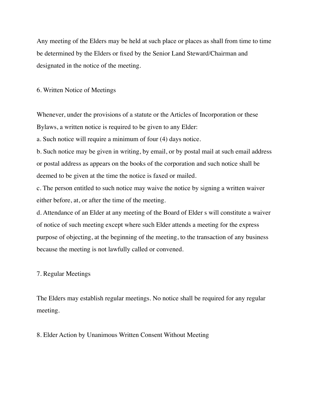Any meeting of the Elders may be held at such place or places as shall from time to time be determined by the Elders or fixed by the Senior Land Steward/Chairman and designated in the notice of the meeting.

6. Written Notice of Meetings

Whenever, under the provisions of a statute or the Articles of Incorporation or these Bylaws, a written notice is required to be given to any Elder:

a. Such notice will require a minimum of four (4) days notice.

b. Such notice may be given in writing, by email, or by postal mail at such email address or postal address as appears on the books of the corporation and such notice shall be deemed to be given at the time the notice is faxed or mailed.

c. The person entitled to such notice may waive the notice by signing a written waiver either before, at, or after the time of the meeting.

d. Attendance of an Elder at any meeting of the Board of Elder s will constitute a waiver of notice of such meeting except where such Elder attends a meeting for the express purpose of objecting, at the beginning of the meeting, to the transaction of any business because the meeting is not lawfully called or convened.

#### 7. Regular Meetings

The Elders may establish regular meetings. No notice shall be required for any regular meeting.

#### 8. Elder Action by Unanimous Written Consent Without Meeting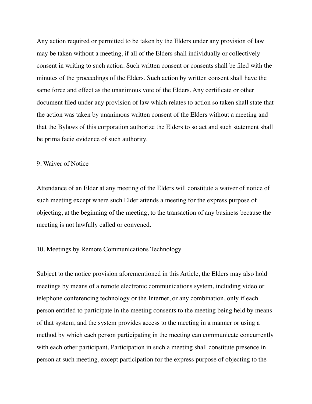Any action required or permitted to be taken by the Elders under any provision of law may be taken without a meeting, if all of the Elders shall individually or collectively consent in writing to such action. Such written consent or consents shall be filed with the minutes of the proceedings of the Elders. Such action by written consent shall have the same force and effect as the unanimous vote of the Elders. Any certificate or other document filed under any provision of law which relates to action so taken shall state that the action was taken by unanimous written consent of the Elders without a meeting and that the Bylaws of this corporation authorize the Elders to so act and such statement shall be prima facie evidence of such authority.

#### 9. Waiver of Notice

Attendance of an Elder at any meeting of the Elders will constitute a waiver of notice of such meeting except where such Elder attends a meeting for the express purpose of objecting, at the beginning of the meeting, to the transaction of any business because the meeting is not lawfully called or convened.

#### 10. Meetings by Remote Communications Technology

Subject to the notice provision aforementioned in this Article, the Elders may also hold meetings by means of a remote electronic communications system, including video or telephone conferencing technology or the Internet, or any combination, only if each person entitled to participate in the meeting consents to the meeting being held by means of that system, and the system provides access to the meeting in a manner or using a method by which each person participating in the meeting can communicate concurrently with each other participant. Participation in such a meeting shall constitute presence in person at such meeting, except participation for the express purpose of objecting to the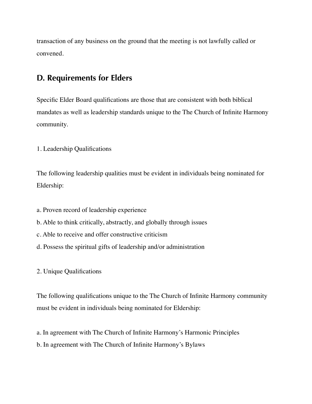transaction of any business on the ground that the meeting is not lawfully called or convened.

## <span id="page-24-0"></span>**D. Requirements for Elders**

Specific Elder Board qualifications are those that are consistent with both biblical mandates as well as leadership standards unique to the The Church of Infinite Harmony community.

1. Leadership Qualifications

The following leadership qualities must be evident in individuals being nominated for Eldership:

- a. Proven record of leadership experience
- b. Able to think critically, abstractly, and globally through issues
- c. Able to receive and offer constructive criticism
- d. Possess the spiritual gifts of leadership and/or administration

2. Unique Qualifications

The following qualifications unique to the The Church of Infinite Harmony community must be evident in individuals being nominated for Eldership:

a. In agreement with The Church of Infinite Harmony's Harmonic Principles

b. In agreement with The Church of Infinite Harmony's Bylaws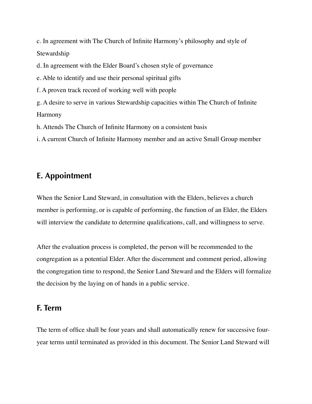c. In agreement with The Church of Infinite Harmony's philosophy and style of Stewardship

d. In agreement with the Elder Board's chosen style of governance

e. Able to identify and use their personal spiritual gifts

f. A proven track record of working well with people

g. A desire to serve in various Stewardship capacities within The Church of Infinite Harmony

h. Attends The Church of Infinite Harmony on a consistent basis

i. A current Church of Infinite Harmony member and an active Small Group member

### <span id="page-25-0"></span>**E. Appointment**

When the Senior Land Steward, in consultation with the Elders, believes a church member is performing, or is capable of performing, the function of an Elder, the Elders will interview the candidate to determine qualifications, call, and willingness to serve.

After the evaluation process is completed, the person will be recommended to the congregation as a potential Elder. After the discernment and comment period, allowing the congregation time to respond, the Senior Land Steward and the Elders will formalize the decision by the laying on of hands in a public service.

#### <span id="page-25-1"></span>**F. Term**

The term of office shall be four years and shall automatically renew for successive fouryear terms until terminated as provided in this document. The Senior Land Steward will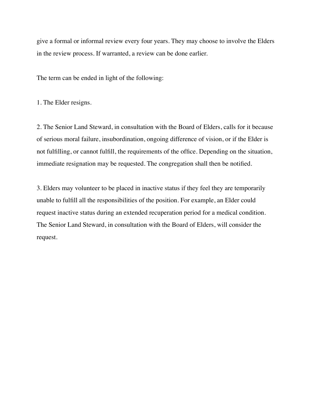give a formal or informal review every four years. They may choose to involve the Elders in the review process. If warranted, a review can be done earlier.

The term can be ended in light of the following:

1. The Elder resigns.

2. The Senior Land Steward, in consultation with the Board of Elders, calls for it because of serious moral failure, insubordination, ongoing difference of vision, or if the Elder is not fulfilling, or cannot fulfill, the requirements of the office. Depending on the situation, immediate resignation may be requested. The congregation shall then be notified.

3. Elders may volunteer to be placed in inactive status if they feel they are temporarily unable to fulfill all the responsibilities of the position. For example, an Elder could request inactive status during an extended recuperation period for a medical condition. The Senior Land Steward, in consultation with the Board of Elders, will consider the request.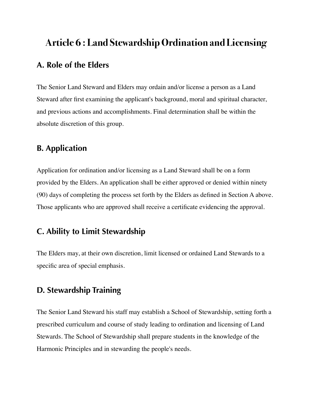# <span id="page-27-1"></span><span id="page-27-0"></span>**Article 6 : Land Stewardship Ordination and Licensing A. Role of the Elders**

The Senior Land Steward and Elders may ordain and/or license a person as a Land Steward after first examining the applicant's background, moral and spiritual character, and previous actions and accomplishments. Final determination shall be within the absolute discretion of this group.

## <span id="page-27-2"></span>**B. Application**

Application for ordination and/or licensing as a Land Steward shall be on a form provided by the Elders. An application shall be either approved or denied within ninety (90) days of completing the process set forth by the Elders as defined in Section A above. Those applicants who are approved shall receive a certificate evidencing the approval.

## <span id="page-27-3"></span>**C. Ability to Limit Stewardship**

The Elders may, at their own discretion, limit licensed or ordained Land Stewards to a specific area of special emphasis.

## <span id="page-27-4"></span>**D. Stewardship Training**

The Senior Land Steward his staff may establish a School of Stewardship, setting forth a prescribed curriculum and course of study leading to ordination and licensing of Land Stewards. The School of Stewardship shall prepare students in the knowledge of the Harmonic Principles and in stewarding the people's needs.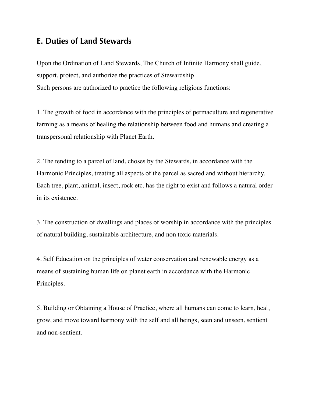## <span id="page-28-0"></span>**E. Duties of Land Stewards**

Upon the Ordination of Land Stewards, The Church of Infinite Harmony shall guide, support, protect, and authorize the practices of Stewardship. Such persons are authorized to practice the following religious functions:

1. The growth of food in accordance with the principles of permaculture and regenerative farming as a means of healing the relationship between food and humans and creating a transpersonal relationship with Planet Earth.

2. The tending to a parcel of land, choses by the Stewards, in accordance with the Harmonic Principles, treating all aspects of the parcel as sacred and without hierarchy. Each tree, plant, animal, insect, rock etc. has the right to exist and follows a natural order in its existence.

3. The construction of dwellings and places of worship in accordance with the principles of natural building, sustainable architecture, and non toxic materials.

4. Self Education on the principles of water conservation and renewable energy as a means of sustaining human life on planet earth in accordance with the Harmonic Principles.

5. Building or Obtaining a House of Practice, where all humans can come to learn, heal, grow, and move toward harmony with the self and all beings, seen and unseen, sentient and non-sentient.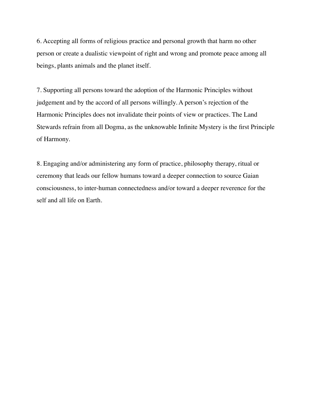6. Accepting all forms of religious practice and personal growth that harm no other person or create a dualistic viewpoint of right and wrong and promote peace among all beings, plants animals and the planet itself.

7. Supporting all persons toward the adoption of the Harmonic Principles without judgement and by the accord of all persons willingly. A person's rejection of the Harmonic Principles does not invalidate their points of view or practices. The Land Stewards refrain from all Dogma, as the unknowable Infinite Mystery is the first Principle of Harmony.

8. Engaging and/or administering any form of practice, philosophy therapy, ritual or ceremony that leads our fellow humans toward a deeper connection to source Gaian consciousness, to inter-human connectedness and/or toward a deeper reverence for the self and all life on Earth.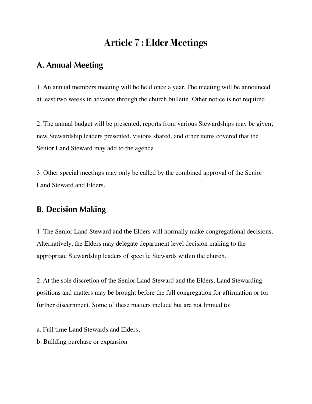## <span id="page-30-0"></span>**Article 7 : Elder Meetings**

## <span id="page-30-1"></span>**A. Annual Meeting**

1. An annual members meeting will be held once a year. The meeting will be announced at least two weeks in advance through the church bulletin. Other notice is not required.

2. The annual budget will be presented; reports from various Stewardships may be given, new Stewardship leaders presented, visions shared, and other items covered that the Senior Land Steward may add to the agenda.

3. Other special meetings may only be called by the combined approval of the Senior Land Steward and Elders.

## <span id="page-30-2"></span>**B. Decision Making**

1. The Senior Land Steward and the Elders will normally make congregational decisions. Alternatively, the Elders may delegate department level decision making to the appropriate Stewardship leaders of specific Stewards within the church.

2. At the sole discretion of the Senior Land Steward and the Elders, Land Stewarding positions and matters may be brought before the full congregation for affirmation or for further discernment. Some of these matters include but are not limited to:

a. Full time Land Stewards and Elders,

b. Building purchase or expansion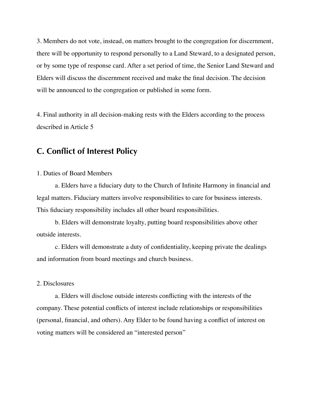3. Members do not vote, instead, on matters brought to the congregation for discernment, there will be opportunity to respond personally to a Land Steward, to a designated person, or by some type of response card. After a set period of time, the Senior Land Steward and Elders will discuss the discernment received and make the final decision. The decision will be announced to the congregation or published in some form.

4. Final authority in all decision-making rests with the Elders according to the process described in Article 5

## <span id="page-31-0"></span>**C. Conflict of Interest Policy**

#### 1. Duties of Board Members

a. Elders have a fiduciary duty to the Church of Infinite Harmony in financial and legal matters. Fiduciary matters involve responsibilities to care for business interests. This fiduciary responsibility includes all other board responsibilities.

b. Elders will demonstrate loyalty, putting board responsibilities above other outside interests.

c. Elders will demonstrate a duty of confidentiality, keeping private the dealings and information from board meetings and church business.

#### 2. Disclosures

a. Elders will disclose outside interests conflicting with the interests of the company. These potential conflicts of interest include relationships or responsibilities (personal, financial, and others). Any Elder to be found having a conflict of interest on voting matters will be considered an "interested person"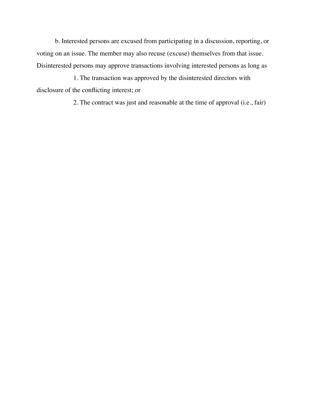b. Interested persons are excused from participating in a discussion, reporting, or voting on an issue. The member may also recuse (excuse) themselves from that issue. Disinterested persons may approve transactions involving interested persons as long as

1. The transaction was approved by the disinterested directors with disclosure of the conflicting interest; or

2. The contract was just and reasonable at the time of approval (i.e., fair)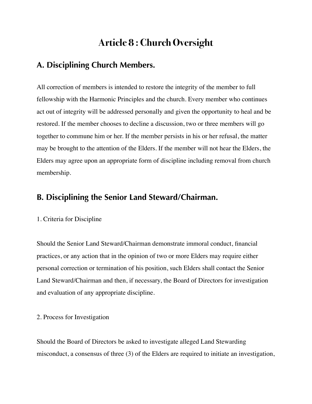## <span id="page-33-0"></span>**Article 8 : Church Oversight**

## <span id="page-33-1"></span>**A. Disciplining Church Members.**

All correction of members is intended to restore the integrity of the member to full fellowship with the Harmonic Principles and the church. Every member who continues act out of integrity will be addressed personally and given the opportunity to heal and be restored. If the member chooses to decline a discussion, two or three members will go together to commune him or her. If the member persists in his or her refusal, the matter may be brought to the attention of the Elders. If the member will not hear the Elders, the Elders may agree upon an appropriate form of discipline including removal from church membership.

## <span id="page-33-2"></span>**B. Disciplining the Senior Land Steward/Chairman.**

#### 1. Criteria for Discipline

Should the Senior Land Steward/Chairman demonstrate immoral conduct, financial practices, or any action that in the opinion of two or more Elders may require either personal correction or termination of his position, such Elders shall contact the Senior Land Steward/Chairman and then, if necessary, the Board of Directors for investigation and evaluation of any appropriate discipline.

#### 2. Process for Investigation

Should the Board of Directors be asked to investigate alleged Land Stewarding misconduct, a consensus of three (3) of the Elders are required to initiate an investigation,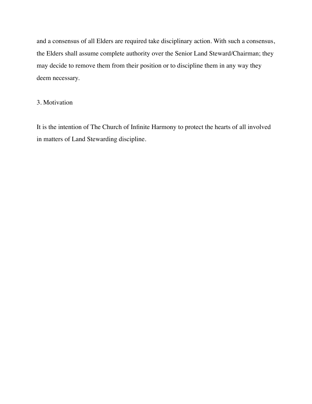and a consensus of all Elders are required take disciplinary action. With such a consensus, the Elders shall assume complete authority over the Senior Land Steward/Chairman; they may decide to remove them from their position or to discipline them in any way they deem necessary.

#### 3. Motivation

It is the intention of The Church of Infinite Harmony to protect the hearts of all involved in matters of Land Stewarding discipline.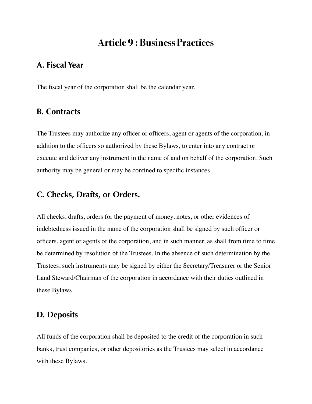## <span id="page-35-0"></span>**Article 9 : Business Practices**

## <span id="page-35-1"></span>**A. Fiscal Year**

The fiscal year of the corporation shall be the calendar year.

### <span id="page-35-2"></span>**B. Contracts**

The Trustees may authorize any officer or officers, agent or agents of the corporation, in addition to the officers so authorized by these Bylaws, to enter into any contract or execute and deliver any instrument in the name of and on behalf of the corporation. Such authority may be general or may be confined to specific instances.

### <span id="page-35-3"></span>**C. Checks, Drafts, or Orders.**

All checks, drafts, orders for the payment of money, notes, or other evidences of indebtedness issued in the name of the corporation shall be signed by such officer or officers, agent or agents of the corporation, and in such manner, as shall from time to time be determined by resolution of the Trustees. In the absence of such determination by the Trustees, such instruments may be signed by either the Secretary/Treasurer or the Senior Land Steward/Chairman of the corporation in accordance with their duties outlined in these Bylaws.

### <span id="page-35-4"></span>**D. Deposits**

All funds of the corporation shall be deposited to the credit of the corporation in such banks, trust companies, or other depositories as the Trustees may select in accordance with these Bylaws.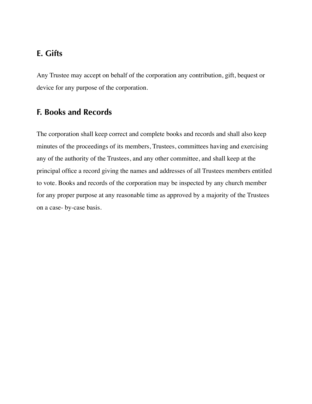## <span id="page-36-0"></span>**E. Gifts**

Any Trustee may accept on behalf of the corporation any contribution, gift, bequest or device for any purpose of the corporation.

## <span id="page-36-1"></span>**F. Books and Records**

The corporation shall keep correct and complete books and records and shall also keep minutes of the proceedings of its members, Trustees, committees having and exercising any of the authority of the Trustees, and any other committee, and shall keep at the principal office a record giving the names and addresses of all Trustees members entitled to vote. Books and records of the corporation may be inspected by any church member for any proper purpose at any reasonable time as approved by a majority of the Trustees on a case- by-case basis.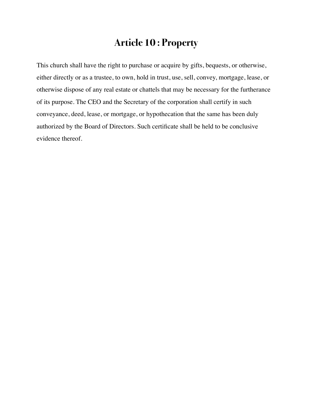## <span id="page-37-0"></span>**Article 10 : Property**

This church shall have the right to purchase or acquire by gifts, bequests, or otherwise, either directly or as a trustee, to own, hold in trust, use, sell, convey, mortgage, lease, or otherwise dispose of any real estate or chattels that may be necessary for the furtherance of its purpose. The CEO and the Secretary of the corporation shall certify in such conveyance, deed, lease, or mortgage, or hypothecation that the same has been duly authorized by the Board of Directors. Such certificate shall be held to be conclusive evidence thereof.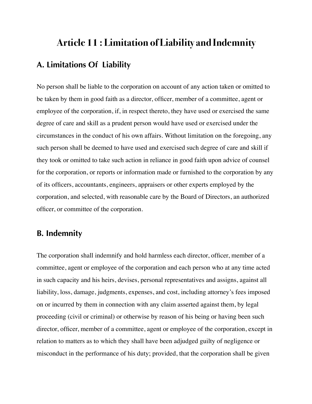# <span id="page-38-1"></span><span id="page-38-0"></span>**Article 11 : Limitation of Liability and Indemnity A. Limitations Of Liability**

No person shall be liable to the corporation on account of any action taken or omitted to be taken by them in good faith as a director, officer, member of a committee, agent or employee of the corporation, if, in respect thereto, they have used or exercised the same degree of care and skill as a prudent person would have used or exercised under the circumstances in the conduct of his own affairs. Without limitation on the foregoing, any such person shall be deemed to have used and exercised such degree of care and skill if they took or omitted to take such action in reliance in good faith upon advice of counsel for the corporation, or reports or information made or furnished to the corporation by any of its officers, accountants, engineers, appraisers or other experts employed by the corporation, and selected, with reasonable care by the Board of Directors, an authorized officer, or committee of the corporation.

## <span id="page-38-2"></span>**B. Indemnity**

The corporation shall indemnify and hold harmless each director, officer, member of a committee, agent or employee of the corporation and each person who at any time acted in such capacity and his heirs, devises, personal representatives and assigns, against all liability, loss, damage, judgments, expenses, and cost, including attorney's fees imposed on or incurred by them in connection with any claim asserted against them, by legal proceeding (civil or criminal) or otherwise by reason of his being or having been such director, officer, member of a committee, agent or employee of the corporation, except in relation to matters as to which they shall have been adjudged guilty of negligence or misconduct in the performance of his duty; provided, that the corporation shall be given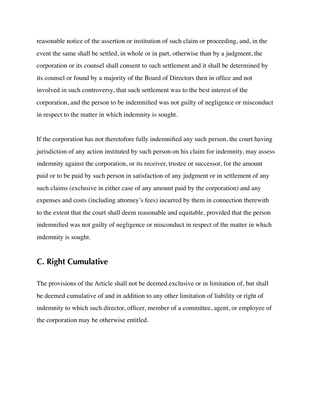reasonable notice of the assertion or institution of such claim or proceeding, and, in the event the same shall be settled, in whole or in part, otherwise than by a judgment, the corporation or its counsel shall consent to such settlement and it shall be determined by its counsel or found by a majority of the Board of Directors then in office and not involved in such controversy, that such settlement was to the best interest of the corporation, and the person to be indemnified was not guilty of negligence or misconduct in respect to the matter in which indemnity is sought.

If the corporation has not theretofore fully indemnified any such person, the court having jurisdiction of any action instituted by such person on his claim for indemnity, may assess indemnity against the corporation, or its receiver, trustee or successor, for the amount paid or to be paid by such person in satisfaction of any judgment or in settlement of any such claims (exclusive in either case of any amount paid by the corporation) and any expenses and costs (including attorney's fees) incurred by them in connection therewith to the extent that the court shall deem reasonable and equitable, provided that the person indemnified was not guilty of negligence or misconduct in respect of the matter in which indemnity is sought.

## <span id="page-39-0"></span>**C. Right Cumulative**

The provisions of the Article shall not be deemed exclusive or in limitation of, but shall be deemed cumulative of and in addition to any other limitation of liability or right of indemnity to which such director, officer, member of a committee, agent, or employee of the corporation may be otherwise entitled.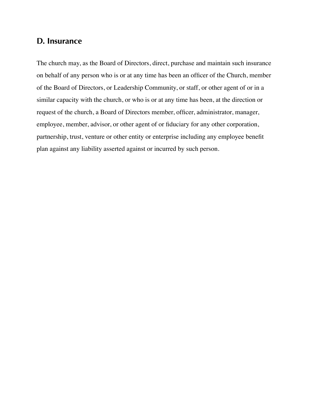## <span id="page-40-0"></span>**D. Insurance**

The church may, as the Board of Directors, direct, purchase and maintain such insurance on behalf of any person who is or at any time has been an officer of the Church, member of the Board of Directors, or Leadership Community, or staff, or other agent of or in a similar capacity with the church, or who is or at any time has been, at the direction or request of the church, a Board of Directors member, officer, administrator, manager, employee, member, advisor, or other agent of or fiduciary for any other corporation, partnership, trust, venture or other entity or enterprise including any employee benefit plan against any liability asserted against or incurred by such person.